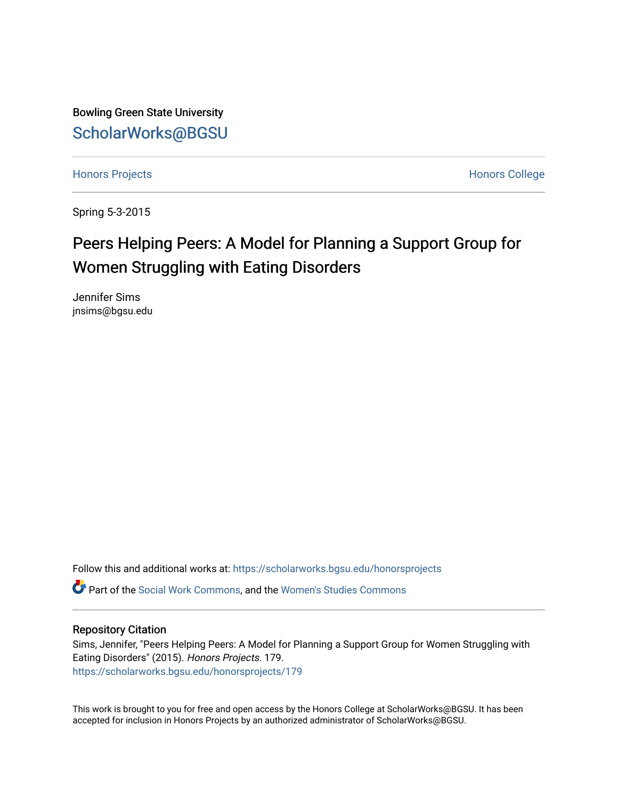Bowling Green State University [ScholarWorks@BGSU](https://scholarworks.bgsu.edu/) 

[Honors Projects](https://scholarworks.bgsu.edu/honorsprojects) **Honors** College

Spring 5-3-2015

# Peers Helping Peers: A Model for Planning a Support Group for Women Struggling with Eating Disorders

Jennifer Sims jnsims@bgsu.edu

Follow this and additional works at: [https://scholarworks.bgsu.edu/honorsprojects](https://scholarworks.bgsu.edu/honorsprojects?utm_source=scholarworks.bgsu.edu%2Fhonorsprojects%2F179&utm_medium=PDF&utm_campaign=PDFCoverPages) 

Part of the [Social Work Commons](http://network.bepress.com/hgg/discipline/713?utm_source=scholarworks.bgsu.edu%2Fhonorsprojects%2F179&utm_medium=PDF&utm_campaign=PDFCoverPages), and the [Women's Studies Commons](http://network.bepress.com/hgg/discipline/561?utm_source=scholarworks.bgsu.edu%2Fhonorsprojects%2F179&utm_medium=PDF&utm_campaign=PDFCoverPages) 

### Repository Citation

Sims, Jennifer, "Peers Helping Peers: A Model for Planning a Support Group for Women Struggling with Eating Disorders" (2015). Honors Projects. 179. [https://scholarworks.bgsu.edu/honorsprojects/179](https://scholarworks.bgsu.edu/honorsprojects/179?utm_source=scholarworks.bgsu.edu%2Fhonorsprojects%2F179&utm_medium=PDF&utm_campaign=PDFCoverPages) 

This work is brought to you for free and open access by the Honors College at ScholarWorks@BGSU. It has been accepted for inclusion in Honors Projects by an authorized administrator of ScholarWorks@BGSU.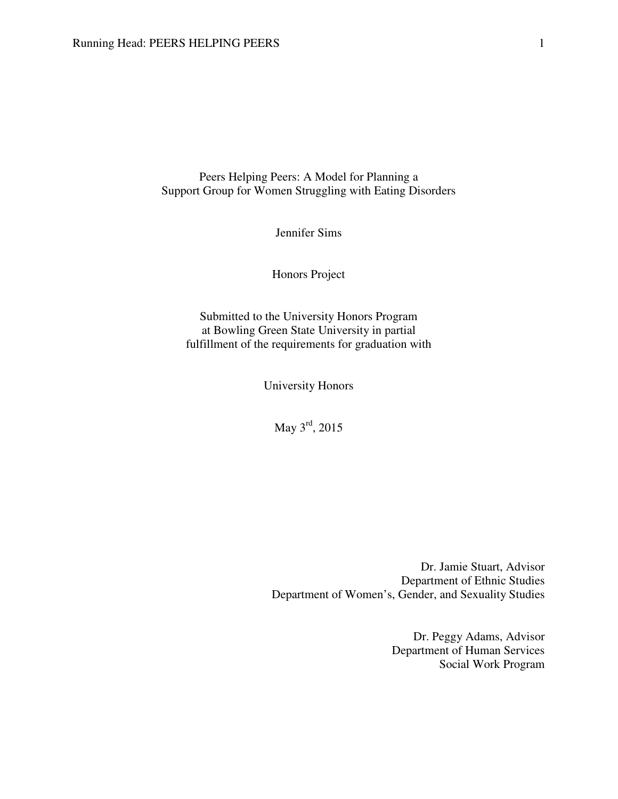Peers Helping Peers: A Model for Planning a Support Group for Women Struggling with Eating Disorders

Jennifer Sims

Honors Project

Submitted to the University Honors Program at Bowling Green State University in partial fulfillment of the requirements for graduation with

University Honors

May 3<sup>rd</sup>, 2015

Dr. Jamie Stuart, Advisor Department of Ethnic Studies Department of Women's, Gender, and Sexuality Studies

> Dr. Peggy Adams, Advisor Department of Human Services Social Work Program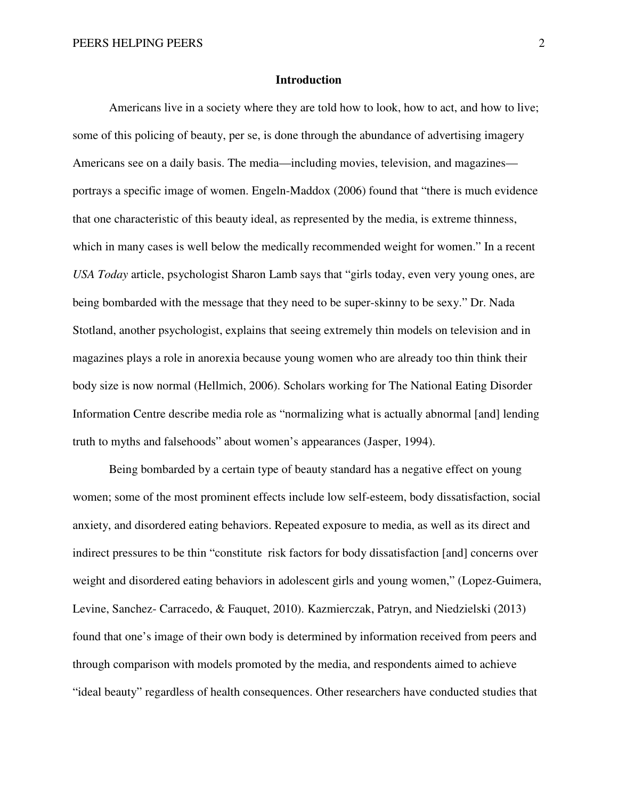#### **Introduction**

Americans live in a society where they are told how to look, how to act, and how to live; some of this policing of beauty, per se, is done through the abundance of advertising imagery Americans see on a daily basis. The media—including movies, television, and magazines portrays a specific image of women. Engeln-Maddox (2006) found that "there is much evidence that one characteristic of this beauty ideal, as represented by the media, is extreme thinness, which in many cases is well below the medically recommended weight for women." In a recent *USA Today* article, psychologist Sharon Lamb says that "girls today, even very young ones, are being bombarded with the message that they need to be super-skinny to be sexy." Dr. Nada Stotland, another psychologist, explains that seeing extremely thin models on television and in magazines plays a role in anorexia because young women who are already too thin think their body size is now normal (Hellmich, 2006). Scholars working for The National Eating Disorder Information Centre describe media role as "normalizing what is actually abnormal [and] lending truth to myths and falsehoods" about women's appearances (Jasper, 1994).

Being bombarded by a certain type of beauty standard has a negative effect on young women; some of the most prominent effects include low self-esteem, body dissatisfaction, social anxiety, and disordered eating behaviors. Repeated exposure to media, as well as its direct and indirect pressures to be thin "constitute risk factors for body dissatisfaction [and] concerns over weight and disordered eating behaviors in adolescent girls and young women," (Lopez-Guimera, Levine, Sanchez- Carracedo, & Fauquet, 2010). Kazmierczak, Patryn, and Niedzielski (2013) found that one's image of their own body is determined by information received from peers and through comparison with models promoted by the media, and respondents aimed to achieve "ideal beauty" regardless of health consequences. Other researchers have conducted studies that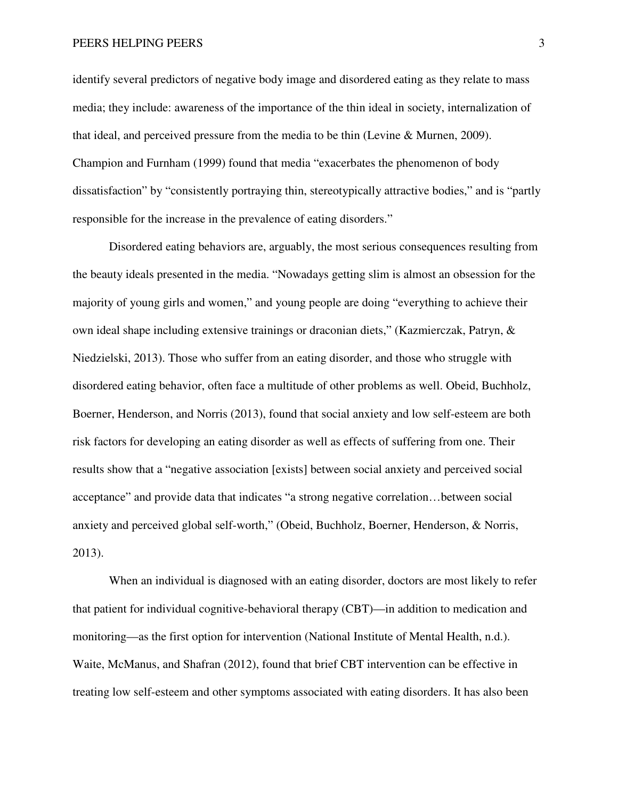identify several predictors of negative body image and disordered eating as they relate to mass media; they include: awareness of the importance of the thin ideal in society, internalization of that ideal, and perceived pressure from the media to be thin (Levine & Murnen, 2009). Champion and Furnham (1999) found that media "exacerbates the phenomenon of body dissatisfaction" by "consistently portraying thin, stereotypically attractive bodies," and is "partly responsible for the increase in the prevalence of eating disorders."

Disordered eating behaviors are, arguably, the most serious consequences resulting from the beauty ideals presented in the media. "Nowadays getting slim is almost an obsession for the majority of young girls and women," and young people are doing "everything to achieve their own ideal shape including extensive trainings or draconian diets," (Kazmierczak, Patryn, & Niedzielski, 2013). Those who suffer from an eating disorder, and those who struggle with disordered eating behavior, often face a multitude of other problems as well. Obeid, Buchholz, Boerner, Henderson, and Norris (2013), found that social anxiety and low self-esteem are both risk factors for developing an eating disorder as well as effects of suffering from one. Their results show that a "negative association [exists] between social anxiety and perceived social acceptance" and provide data that indicates "a strong negative correlation…between social anxiety and perceived global self-worth," (Obeid, Buchholz, Boerner, Henderson, & Norris, 2013).

When an individual is diagnosed with an eating disorder, doctors are most likely to refer that patient for individual cognitive-behavioral therapy (CBT)—in addition to medication and monitoring—as the first option for intervention (National Institute of Mental Health, n.d.). Waite, McManus, and Shafran (2012), found that brief CBT intervention can be effective in treating low self-esteem and other symptoms associated with eating disorders. It has also been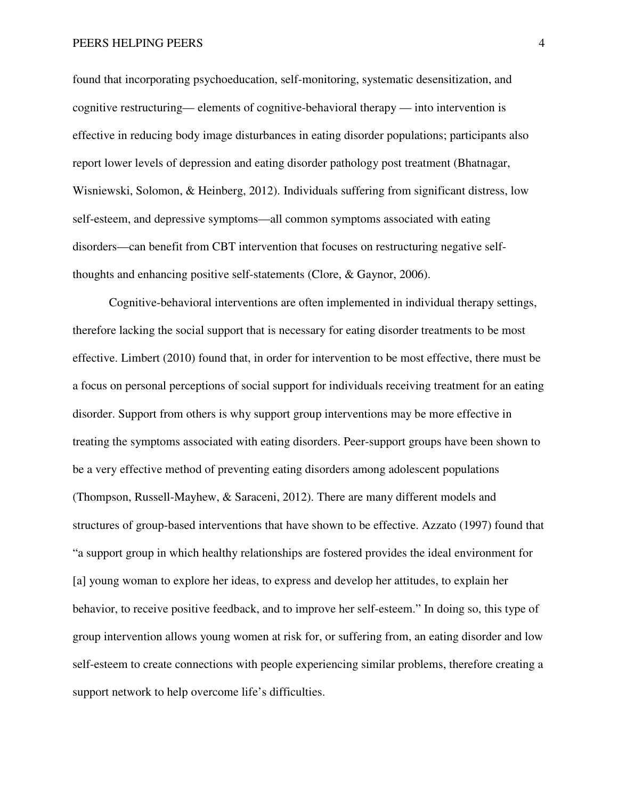#### PEERS HELPING PEERS 4

found that incorporating psychoeducation, self-monitoring, systematic desensitization, and cognitive restructuring— elements of cognitive-behavioral therapy — into intervention is effective in reducing body image disturbances in eating disorder populations; participants also report lower levels of depression and eating disorder pathology post treatment (Bhatnagar, Wisniewski, Solomon, & Heinberg, 2012). Individuals suffering from significant distress, low self-esteem, and depressive symptoms—all common symptoms associated with eating disorders—can benefit from CBT intervention that focuses on restructuring negative selfthoughts and enhancing positive self-statements (Clore, & Gaynor, 2006).

Cognitive-behavioral interventions are often implemented in individual therapy settings, therefore lacking the social support that is necessary for eating disorder treatments to be most effective. Limbert (2010) found that, in order for intervention to be most effective, there must be a focus on personal perceptions of social support for individuals receiving treatment for an eating disorder. Support from others is why support group interventions may be more effective in treating the symptoms associated with eating disorders. Peer-support groups have been shown to be a very effective method of preventing eating disorders among adolescent populations (Thompson, Russell-Mayhew, & Saraceni, 2012). There are many different models and structures of group-based interventions that have shown to be effective. Azzato (1997) found that "a support group in which healthy relationships are fostered provides the ideal environment for [a] young woman to explore her ideas, to express and develop her attitudes, to explain her behavior, to receive positive feedback, and to improve her self-esteem." In doing so, this type of group intervention allows young women at risk for, or suffering from, an eating disorder and low self-esteem to create connections with people experiencing similar problems, therefore creating a support network to help overcome life's difficulties.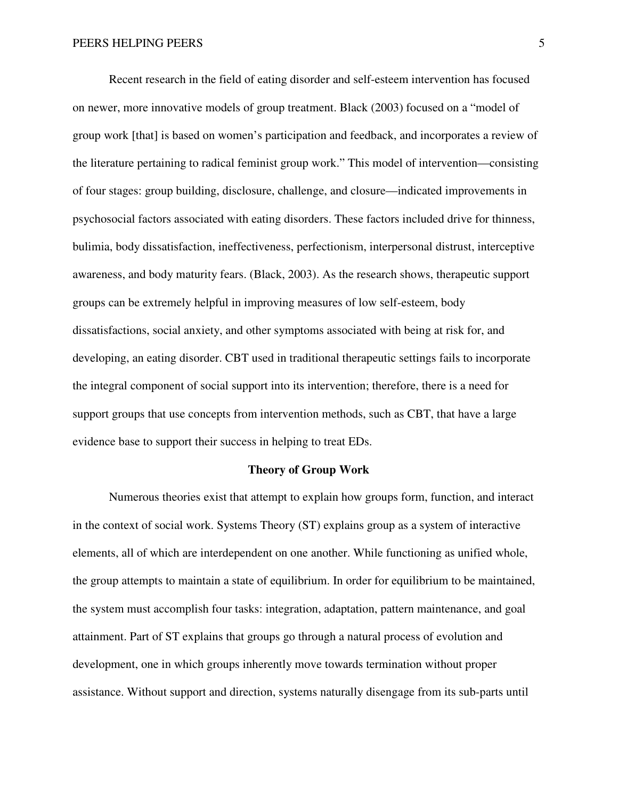Recent research in the field of eating disorder and self-esteem intervention has focused on newer, more innovative models of group treatment. Black (2003) focused on a "model of group work [that] is based on women's participation and feedback, and incorporates a review of the literature pertaining to radical feminist group work." This model of intervention—consisting of four stages: group building, disclosure, challenge, and closure—indicated improvements in psychosocial factors associated with eating disorders. These factors included drive for thinness, bulimia, body dissatisfaction, ineffectiveness, perfectionism, interpersonal distrust, interceptive awareness, and body maturity fears. (Black, 2003). As the research shows, therapeutic support groups can be extremely helpful in improving measures of low self-esteem, body dissatisfactions, social anxiety, and other symptoms associated with being at risk for, and developing, an eating disorder. CBT used in traditional therapeutic settings fails to incorporate the integral component of social support into its intervention; therefore, there is a need for support groups that use concepts from intervention methods, such as CBT, that have a large evidence base to support their success in helping to treat EDs.

#### **Theory of Group Work**

 Numerous theories exist that attempt to explain how groups form, function, and interact in the context of social work. Systems Theory (ST) explains group as a system of interactive elements, all of which are interdependent on one another. While functioning as unified whole, the group attempts to maintain a state of equilibrium. In order for equilibrium to be maintained, the system must accomplish four tasks: integration, adaptation, pattern maintenance, and goal attainment. Part of ST explains that groups go through a natural process of evolution and development, one in which groups inherently move towards termination without proper assistance. Without support and direction, systems naturally disengage from its sub-parts until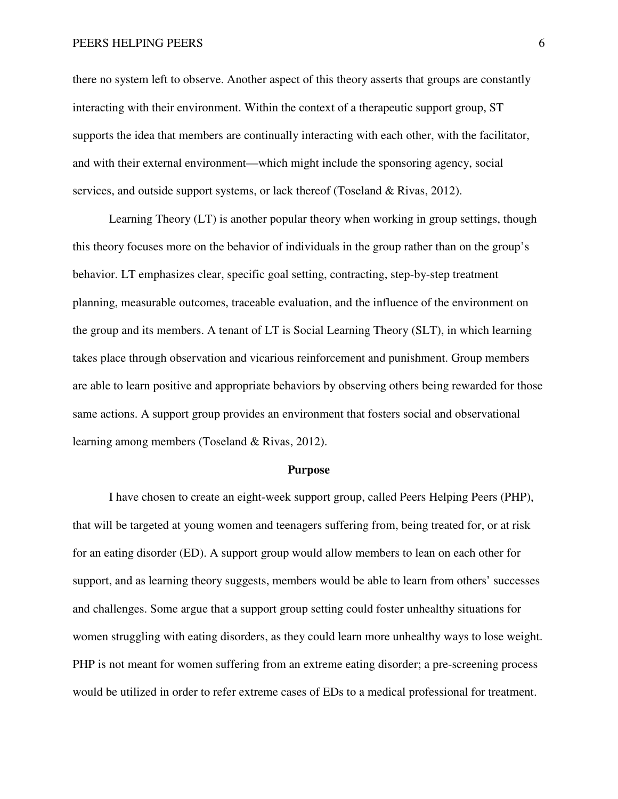there no system left to observe. Another aspect of this theory asserts that groups are constantly interacting with their environment. Within the context of a therapeutic support group, ST supports the idea that members are continually interacting with each other, with the facilitator, and with their external environment—which might include the sponsoring agency, social services, and outside support systems, or lack thereof (Toseland & Rivas, 2012).

 Learning Theory (LT) is another popular theory when working in group settings, though this theory focuses more on the behavior of individuals in the group rather than on the group's behavior. LT emphasizes clear, specific goal setting, contracting, step-by-step treatment planning, measurable outcomes, traceable evaluation, and the influence of the environment on the group and its members. A tenant of LT is Social Learning Theory (SLT), in which learning takes place through observation and vicarious reinforcement and punishment. Group members are able to learn positive and appropriate behaviors by observing others being rewarded for those same actions. A support group provides an environment that fosters social and observational learning among members (Toseland & Rivas, 2012).

#### **Purpose**

 I have chosen to create an eight-week support group, called Peers Helping Peers (PHP), that will be targeted at young women and teenagers suffering from, being treated for, or at risk for an eating disorder (ED). A support group would allow members to lean on each other for support, and as learning theory suggests, members would be able to learn from others' successes and challenges. Some argue that a support group setting could foster unhealthy situations for women struggling with eating disorders, as they could learn more unhealthy ways to lose weight. PHP is not meant for women suffering from an extreme eating disorder; a pre-screening process would be utilized in order to refer extreme cases of EDs to a medical professional for treatment.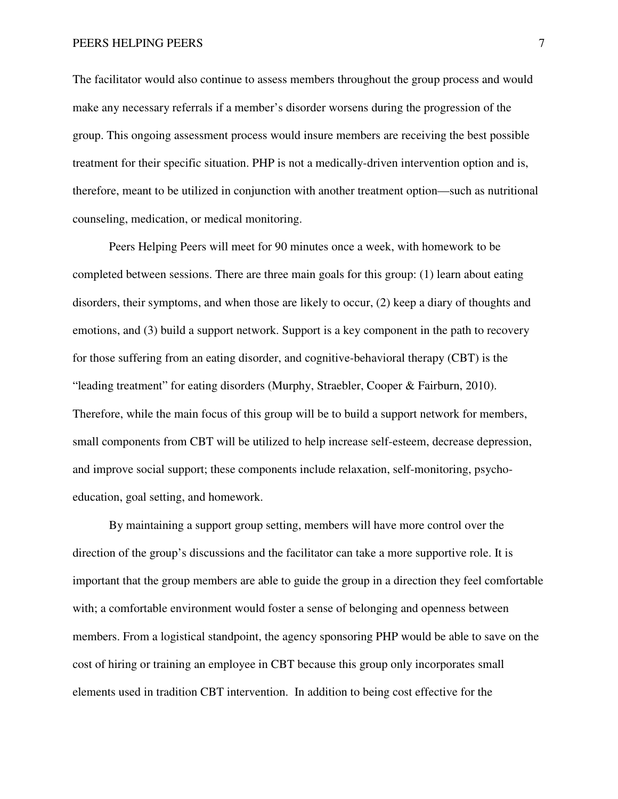The facilitator would also continue to assess members throughout the group process and would make any necessary referrals if a member's disorder worsens during the progression of the group. This ongoing assessment process would insure members are receiving the best possible treatment for their specific situation. PHP is not a medically-driven intervention option and is, therefore, meant to be utilized in conjunction with another treatment option—such as nutritional counseling, medication, or medical monitoring.

Peers Helping Peers will meet for 90 minutes once a week, with homework to be completed between sessions. There are three main goals for this group: (1) learn about eating disorders, their symptoms, and when those are likely to occur, (2) keep a diary of thoughts and emotions, and (3) build a support network. Support is a key component in the path to recovery for those suffering from an eating disorder, and cognitive-behavioral therapy (CBT) is the "leading treatment" for eating disorders (Murphy, Straebler, Cooper & Fairburn, 2010). Therefore, while the main focus of this group will be to build a support network for members, small components from CBT will be utilized to help increase self-esteem, decrease depression, and improve social support; these components include relaxation, self-monitoring, psychoeducation, goal setting, and homework.

By maintaining a support group setting, members will have more control over the direction of the group's discussions and the facilitator can take a more supportive role. It is important that the group members are able to guide the group in a direction they feel comfortable with; a comfortable environment would foster a sense of belonging and openness between members. From a logistical standpoint, the agency sponsoring PHP would be able to save on the cost of hiring or training an employee in CBT because this group only incorporates small elements used in tradition CBT intervention. In addition to being cost effective for the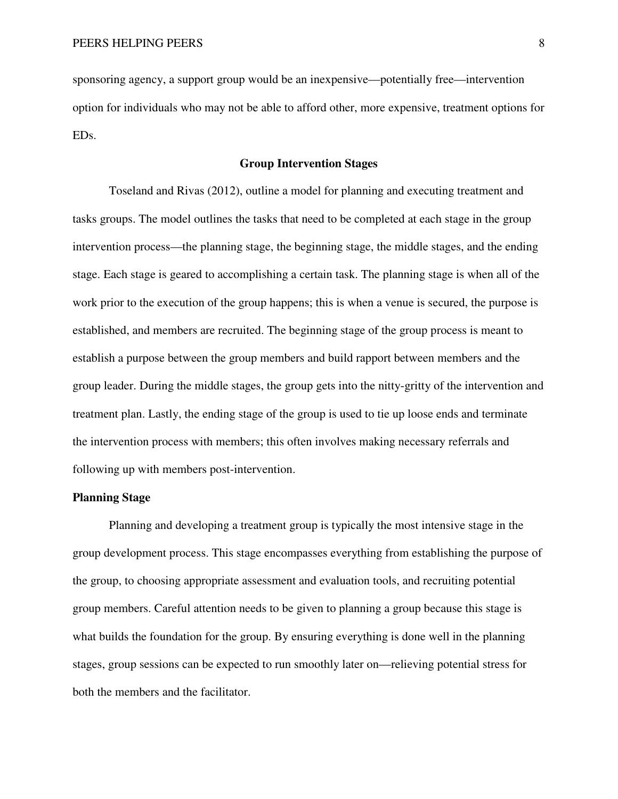sponsoring agency, a support group would be an inexpensive—potentially free—intervention option for individuals who may not be able to afford other, more expensive, treatment options for EDs.

# **Group Intervention Stages**

Toseland and Rivas (2012), outline a model for planning and executing treatment and tasks groups. The model outlines the tasks that need to be completed at each stage in the group intervention process—the planning stage, the beginning stage, the middle stages, and the ending stage. Each stage is geared to accomplishing a certain task. The planning stage is when all of the work prior to the execution of the group happens; this is when a venue is secured, the purpose is established, and members are recruited. The beginning stage of the group process is meant to establish a purpose between the group members and build rapport between members and the group leader. During the middle stages, the group gets into the nitty-gritty of the intervention and treatment plan. Lastly, the ending stage of the group is used to tie up loose ends and terminate the intervention process with members; this often involves making necessary referrals and following up with members post-intervention.

## **Planning Stage**

 Planning and developing a treatment group is typically the most intensive stage in the group development process. This stage encompasses everything from establishing the purpose of the group, to choosing appropriate assessment and evaluation tools, and recruiting potential group members. Careful attention needs to be given to planning a group because this stage is what builds the foundation for the group. By ensuring everything is done well in the planning stages, group sessions can be expected to run smoothly later on—relieving potential stress for both the members and the facilitator.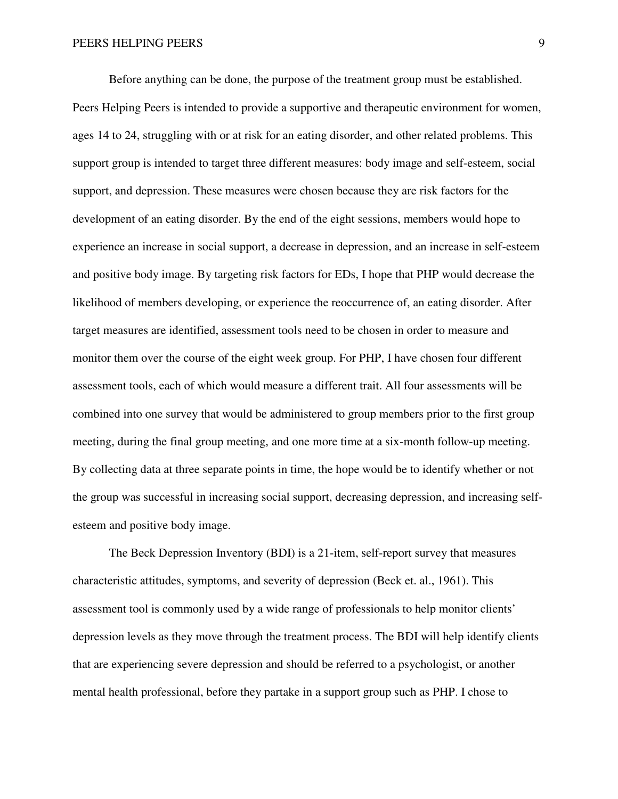Before anything can be done, the purpose of the treatment group must be established. Peers Helping Peers is intended to provide a supportive and therapeutic environment for women, ages 14 to 24, struggling with or at risk for an eating disorder, and other related problems. This support group is intended to target three different measures: body image and self-esteem, social support, and depression. These measures were chosen because they are risk factors for the development of an eating disorder. By the end of the eight sessions, members would hope to experience an increase in social support, a decrease in depression, and an increase in self-esteem and positive body image. By targeting risk factors for EDs, I hope that PHP would decrease the likelihood of members developing, or experience the reoccurrence of, an eating disorder. After target measures are identified, assessment tools need to be chosen in order to measure and monitor them over the course of the eight week group. For PHP, I have chosen four different assessment tools, each of which would measure a different trait. All four assessments will be combined into one survey that would be administered to group members prior to the first group meeting, during the final group meeting, and one more time at a six-month follow-up meeting. By collecting data at three separate points in time, the hope would be to identify whether or not the group was successful in increasing social support, decreasing depression, and increasing selfesteem and positive body image.

 The Beck Depression Inventory (BDI) is a 21-item, self-report survey that measures characteristic attitudes, symptoms, and severity of depression (Beck et. al., 1961). This assessment tool is commonly used by a wide range of professionals to help monitor clients' depression levels as they move through the treatment process. The BDI will help identify clients that are experiencing severe depression and should be referred to a psychologist, or another mental health professional, before they partake in a support group such as PHP. I chose to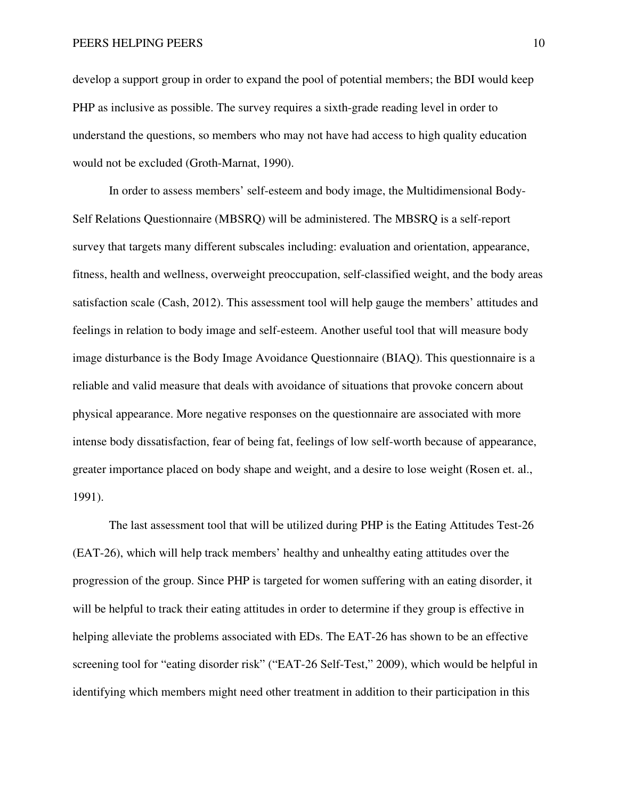PEERS HELPING PEERS 10

develop a support group in order to expand the pool of potential members; the BDI would keep PHP as inclusive as possible. The survey requires a sixth-grade reading level in order to understand the questions, so members who may not have had access to high quality education would not be excluded (Groth-Marnat, 1990).

 In order to assess members' self-esteem and body image, the Multidimensional Body-Self Relations Questionnaire (MBSRQ) will be administered. The MBSRQ is a self-report survey that targets many different subscales including: evaluation and orientation, appearance, fitness, health and wellness, overweight preoccupation, self-classified weight, and the body areas satisfaction scale (Cash, 2012). This assessment tool will help gauge the members' attitudes and feelings in relation to body image and self-esteem. Another useful tool that will measure body image disturbance is the Body Image Avoidance Questionnaire (BIAQ). This questionnaire is a reliable and valid measure that deals with avoidance of situations that provoke concern about physical appearance. More negative responses on the questionnaire are associated with more intense body dissatisfaction, fear of being fat, feelings of low self-worth because of appearance, greater importance placed on body shape and weight, and a desire to lose weight (Rosen et. al., 1991).

 The last assessment tool that will be utilized during PHP is the Eating Attitudes Test-26 (EAT-26), which will help track members' healthy and unhealthy eating attitudes over the progression of the group. Since PHP is targeted for women suffering with an eating disorder, it will be helpful to track their eating attitudes in order to determine if they group is effective in helping alleviate the problems associated with EDs. The EAT-26 has shown to be an effective screening tool for "eating disorder risk" ("EAT-26 Self-Test," 2009), which would be helpful in identifying which members might need other treatment in addition to their participation in this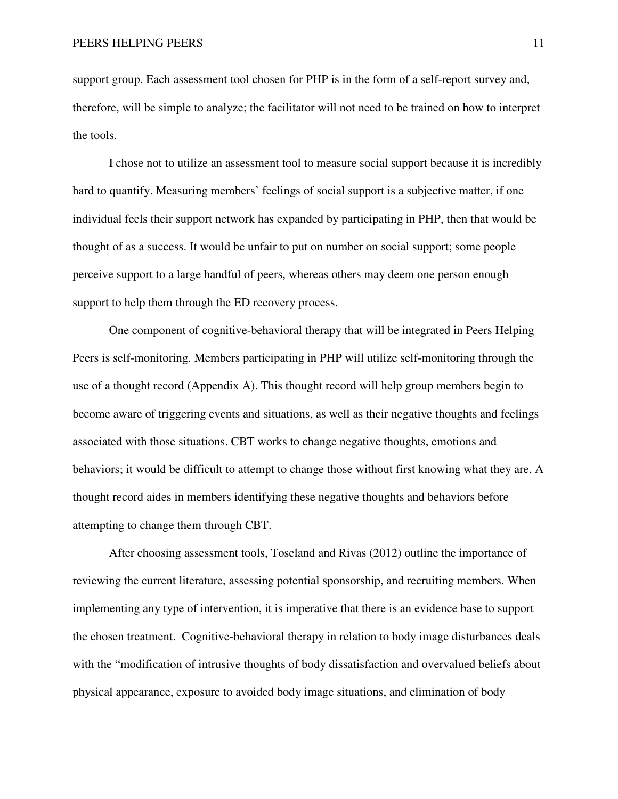support group. Each assessment tool chosen for PHP is in the form of a self-report survey and, therefore, will be simple to analyze; the facilitator will not need to be trained on how to interpret the tools.

 I chose not to utilize an assessment tool to measure social support because it is incredibly hard to quantify. Measuring members' feelings of social support is a subjective matter, if one individual feels their support network has expanded by participating in PHP, then that would be thought of as a success. It would be unfair to put on number on social support; some people perceive support to a large handful of peers, whereas others may deem one person enough support to help them through the ED recovery process.

 One component of cognitive-behavioral therapy that will be integrated in Peers Helping Peers is self-monitoring. Members participating in PHP will utilize self-monitoring through the use of a thought record (Appendix A). This thought record will help group members begin to become aware of triggering events and situations, as well as their negative thoughts and feelings associated with those situations. CBT works to change negative thoughts, emotions and behaviors; it would be difficult to attempt to change those without first knowing what they are. A thought record aides in members identifying these negative thoughts and behaviors before attempting to change them through CBT.

 After choosing assessment tools, Toseland and Rivas (2012) outline the importance of reviewing the current literature, assessing potential sponsorship, and recruiting members. When implementing any type of intervention, it is imperative that there is an evidence base to support the chosen treatment. Cognitive-behavioral therapy in relation to body image disturbances deals with the "modification of intrusive thoughts of body dissatisfaction and overvalued beliefs about physical appearance, exposure to avoided body image situations, and elimination of body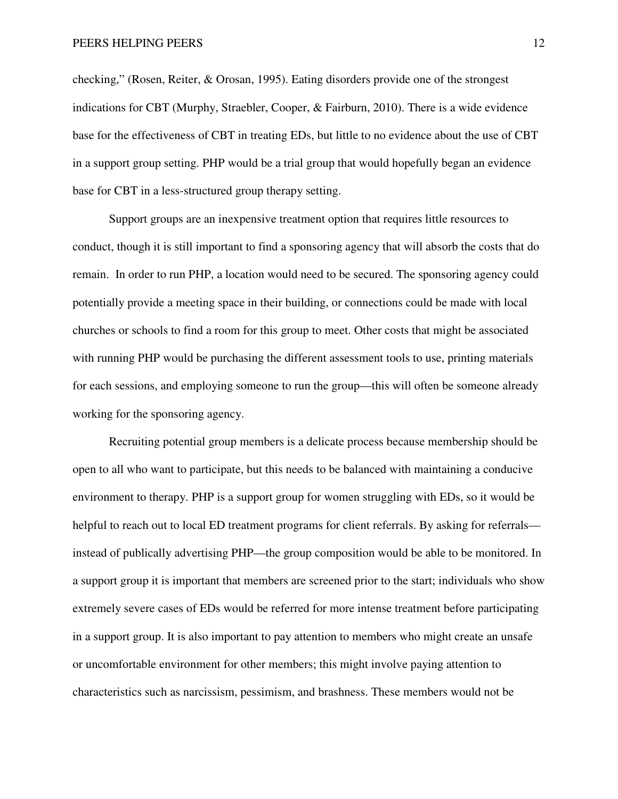checking," (Rosen, Reiter, & Orosan, 1995). Eating disorders provide one of the strongest indications for CBT (Murphy, Straebler, Cooper, & Fairburn, 2010). There is a wide evidence base for the effectiveness of CBT in treating EDs, but little to no evidence about the use of CBT in a support group setting. PHP would be a trial group that would hopefully began an evidence base for CBT in a less-structured group therapy setting.

 Support groups are an inexpensive treatment option that requires little resources to conduct, though it is still important to find a sponsoring agency that will absorb the costs that do remain. In order to run PHP, a location would need to be secured. The sponsoring agency could potentially provide a meeting space in their building, or connections could be made with local churches or schools to find a room for this group to meet. Other costs that might be associated with running PHP would be purchasing the different assessment tools to use, printing materials for each sessions, and employing someone to run the group—this will often be someone already working for the sponsoring agency.

 Recruiting potential group members is a delicate process because membership should be open to all who want to participate, but this needs to be balanced with maintaining a conducive environment to therapy. PHP is a support group for women struggling with EDs, so it would be helpful to reach out to local ED treatment programs for client referrals. By asking for referrals instead of publically advertising PHP—the group composition would be able to be monitored. In a support group it is important that members are screened prior to the start; individuals who show extremely severe cases of EDs would be referred for more intense treatment before participating in a support group. It is also important to pay attention to members who might create an unsafe or uncomfortable environment for other members; this might involve paying attention to characteristics such as narcissism, pessimism, and brashness. These members would not be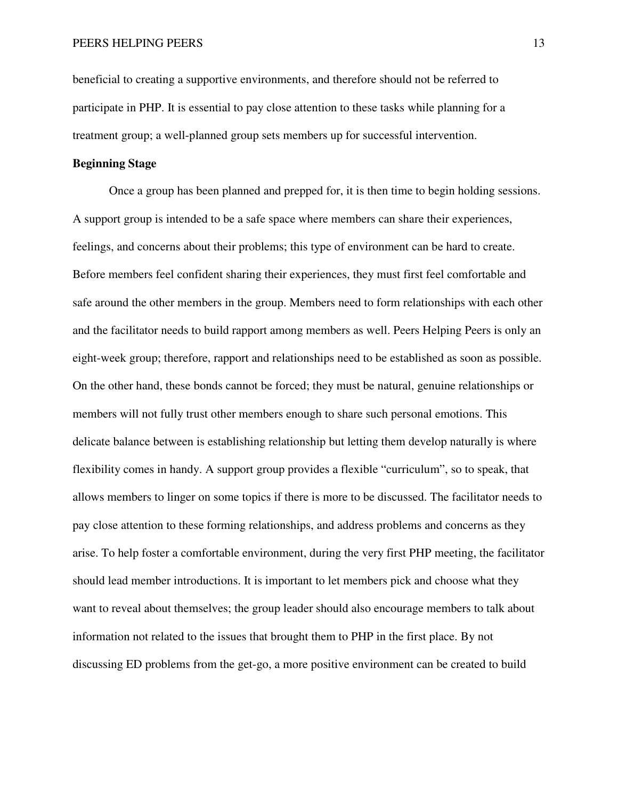beneficial to creating a supportive environments, and therefore should not be referred to participate in PHP. It is essential to pay close attention to these tasks while planning for a treatment group; a well-planned group sets members up for successful intervention.

#### **Beginning Stage**

 Once a group has been planned and prepped for, it is then time to begin holding sessions. A support group is intended to be a safe space where members can share their experiences, feelings, and concerns about their problems; this type of environment can be hard to create. Before members feel confident sharing their experiences, they must first feel comfortable and safe around the other members in the group. Members need to form relationships with each other and the facilitator needs to build rapport among members as well. Peers Helping Peers is only an eight-week group; therefore, rapport and relationships need to be established as soon as possible. On the other hand, these bonds cannot be forced; they must be natural, genuine relationships or members will not fully trust other members enough to share such personal emotions. This delicate balance between is establishing relationship but letting them develop naturally is where flexibility comes in handy. A support group provides a flexible "curriculum", so to speak, that allows members to linger on some topics if there is more to be discussed. The facilitator needs to pay close attention to these forming relationships, and address problems and concerns as they arise. To help foster a comfortable environment, during the very first PHP meeting, the facilitator should lead member introductions. It is important to let members pick and choose what they want to reveal about themselves; the group leader should also encourage members to talk about information not related to the issues that brought them to PHP in the first place. By not discussing ED problems from the get-go, a more positive environment can be created to build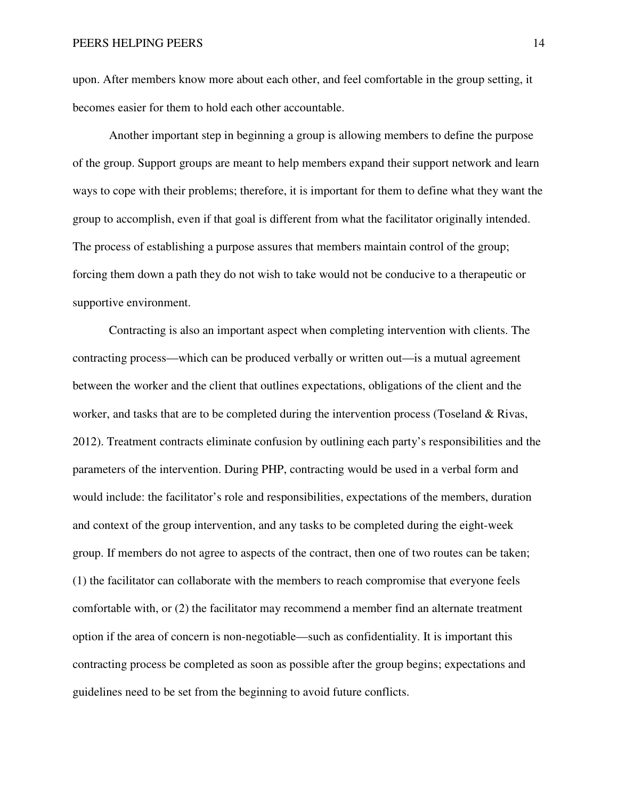upon. After members know more about each other, and feel comfortable in the group setting, it becomes easier for them to hold each other accountable.

 Another important step in beginning a group is allowing members to define the purpose of the group. Support groups are meant to help members expand their support network and learn ways to cope with their problems; therefore, it is important for them to define what they want the group to accomplish, even if that goal is different from what the facilitator originally intended. The process of establishing a purpose assures that members maintain control of the group; forcing them down a path they do not wish to take would not be conducive to a therapeutic or supportive environment.

Contracting is also an important aspect when completing intervention with clients. The contracting process—which can be produced verbally or written out—is a mutual agreement between the worker and the client that outlines expectations, obligations of the client and the worker, and tasks that are to be completed during the intervention process (Toseland & Rivas, 2012). Treatment contracts eliminate confusion by outlining each party's responsibilities and the parameters of the intervention. During PHP, contracting would be used in a verbal form and would include: the facilitator's role and responsibilities, expectations of the members, duration and context of the group intervention, and any tasks to be completed during the eight-week group. If members do not agree to aspects of the contract, then one of two routes can be taken; (1) the facilitator can collaborate with the members to reach compromise that everyone feels comfortable with, or (2) the facilitator may recommend a member find an alternate treatment option if the area of concern is non-negotiable—such as confidentiality. It is important this contracting process be completed as soon as possible after the group begins; expectations and guidelines need to be set from the beginning to avoid future conflicts.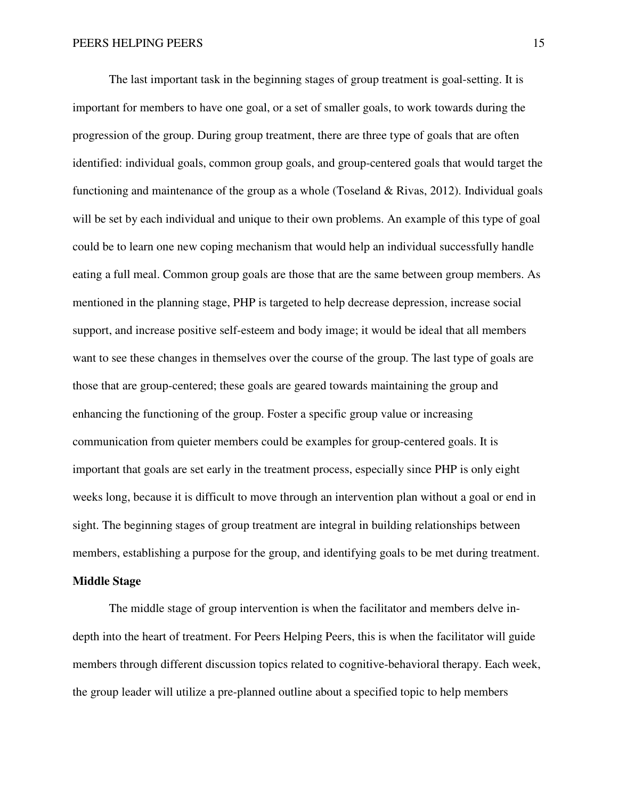The last important task in the beginning stages of group treatment is goal-setting. It is important for members to have one goal, or a set of smaller goals, to work towards during the progression of the group. During group treatment, there are three type of goals that are often identified: individual goals, common group goals, and group-centered goals that would target the functioning and maintenance of the group as a whole (Toseland & Rivas, 2012). Individual goals will be set by each individual and unique to their own problems. An example of this type of goal could be to learn one new coping mechanism that would help an individual successfully handle eating a full meal. Common group goals are those that are the same between group members. As mentioned in the planning stage, PHP is targeted to help decrease depression, increase social support, and increase positive self-esteem and body image; it would be ideal that all members want to see these changes in themselves over the course of the group. The last type of goals are those that are group-centered; these goals are geared towards maintaining the group and enhancing the functioning of the group. Foster a specific group value or increasing communication from quieter members could be examples for group-centered goals. It is important that goals are set early in the treatment process, especially since PHP is only eight weeks long, because it is difficult to move through an intervention plan without a goal or end in sight. The beginning stages of group treatment are integral in building relationships between members, establishing a purpose for the group, and identifying goals to be met during treatment.

#### **Middle Stage**

 The middle stage of group intervention is when the facilitator and members delve indepth into the heart of treatment. For Peers Helping Peers, this is when the facilitator will guide members through different discussion topics related to cognitive-behavioral therapy. Each week, the group leader will utilize a pre-planned outline about a specified topic to help members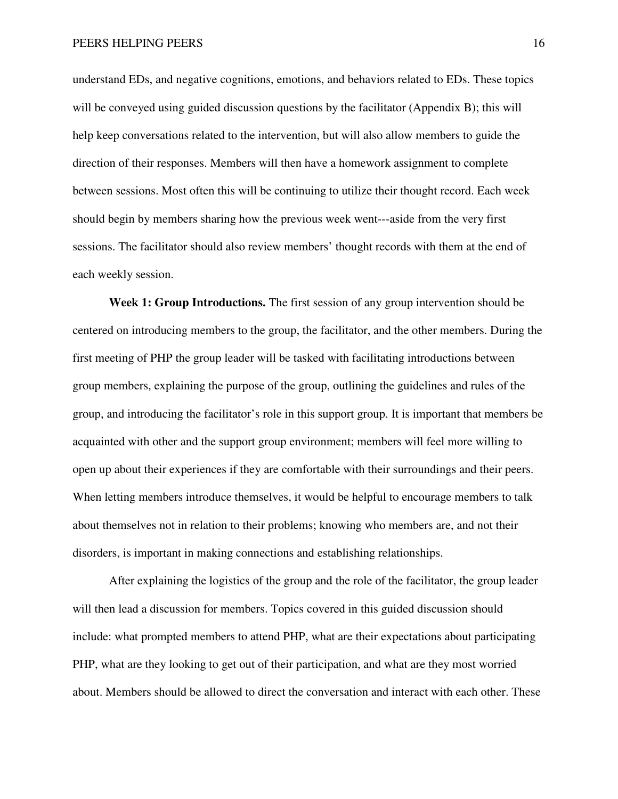understand EDs, and negative cognitions, emotions, and behaviors related to EDs. These topics will be conveyed using guided discussion questions by the facilitator (Appendix B); this will help keep conversations related to the intervention, but will also allow members to guide the direction of their responses. Members will then have a homework assignment to complete between sessions. Most often this will be continuing to utilize their thought record. Each week should begin by members sharing how the previous week went---aside from the very first sessions. The facilitator should also review members' thought records with them at the end of each weekly session.

**Week 1: Group Introductions.** The first session of any group intervention should be centered on introducing members to the group, the facilitator, and the other members. During the first meeting of PHP the group leader will be tasked with facilitating introductions between group members, explaining the purpose of the group, outlining the guidelines and rules of the group, and introducing the facilitator's role in this support group. It is important that members be acquainted with other and the support group environment; members will feel more willing to open up about their experiences if they are comfortable with their surroundings and their peers. When letting members introduce themselves, it would be helpful to encourage members to talk about themselves not in relation to their problems; knowing who members are, and not their disorders, is important in making connections and establishing relationships.

After explaining the logistics of the group and the role of the facilitator, the group leader will then lead a discussion for members. Topics covered in this guided discussion should include: what prompted members to attend PHP, what are their expectations about participating PHP, what are they looking to get out of their participation, and what are they most worried about. Members should be allowed to direct the conversation and interact with each other. These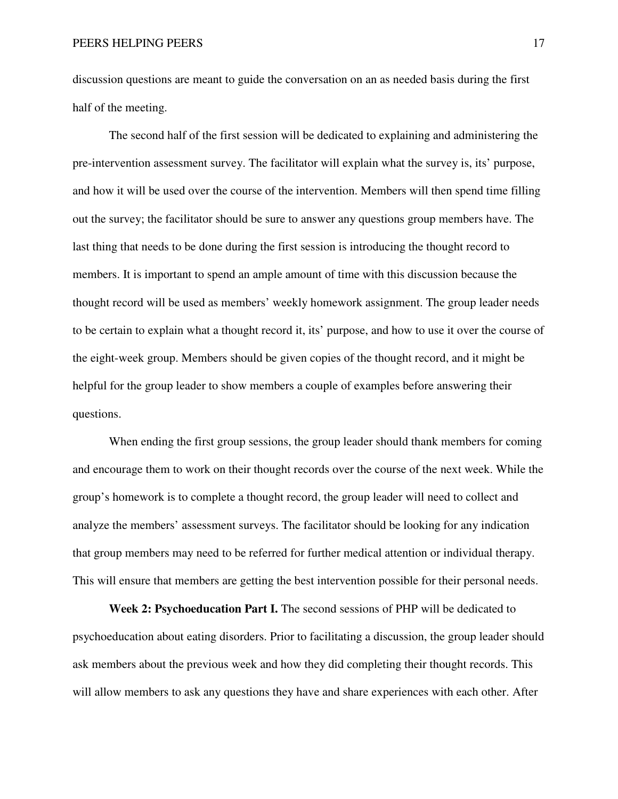discussion questions are meant to guide the conversation on an as needed basis during the first half of the meeting.

The second half of the first session will be dedicated to explaining and administering the pre-intervention assessment survey. The facilitator will explain what the survey is, its' purpose, and how it will be used over the course of the intervention. Members will then spend time filling out the survey; the facilitator should be sure to answer any questions group members have. The last thing that needs to be done during the first session is introducing the thought record to members. It is important to spend an ample amount of time with this discussion because the thought record will be used as members' weekly homework assignment. The group leader needs to be certain to explain what a thought record it, its' purpose, and how to use it over the course of the eight-week group. Members should be given copies of the thought record, and it might be helpful for the group leader to show members a couple of examples before answering their questions.

When ending the first group sessions, the group leader should thank members for coming and encourage them to work on their thought records over the course of the next week. While the group's homework is to complete a thought record, the group leader will need to collect and analyze the members' assessment surveys. The facilitator should be looking for any indication that group members may need to be referred for further medical attention or individual therapy. This will ensure that members are getting the best intervention possible for their personal needs.

**Week 2: Psychoeducation Part I.** The second sessions of PHP will be dedicated to psychoeducation about eating disorders. Prior to facilitating a discussion, the group leader should ask members about the previous week and how they did completing their thought records. This will allow members to ask any questions they have and share experiences with each other. After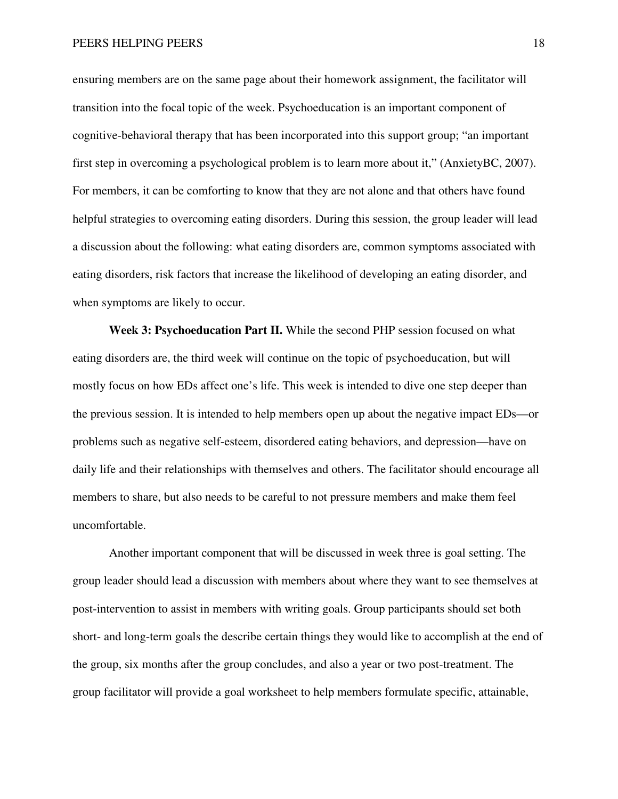ensuring members are on the same page about their homework assignment, the facilitator will transition into the focal topic of the week. Psychoeducation is an important component of cognitive-behavioral therapy that has been incorporated into this support group; "an important first step in overcoming a psychological problem is to learn more about it," (AnxietyBC, 2007). For members, it can be comforting to know that they are not alone and that others have found helpful strategies to overcoming eating disorders. During this session, the group leader will lead a discussion about the following: what eating disorders are, common symptoms associated with eating disorders, risk factors that increase the likelihood of developing an eating disorder, and when symptoms are likely to occur.

**Week 3: Psychoeducation Part II.** While the second PHP session focused on what eating disorders are, the third week will continue on the topic of psychoeducation, but will mostly focus on how EDs affect one's life. This week is intended to dive one step deeper than the previous session. It is intended to help members open up about the negative impact EDs—or problems such as negative self-esteem, disordered eating behaviors, and depression—have on daily life and their relationships with themselves and others. The facilitator should encourage all members to share, but also needs to be careful to not pressure members and make them feel uncomfortable.

Another important component that will be discussed in week three is goal setting. The group leader should lead a discussion with members about where they want to see themselves at post-intervention to assist in members with writing goals. Group participants should set both short- and long-term goals the describe certain things they would like to accomplish at the end of the group, six months after the group concludes, and also a year or two post-treatment. The group facilitator will provide a goal worksheet to help members formulate specific, attainable,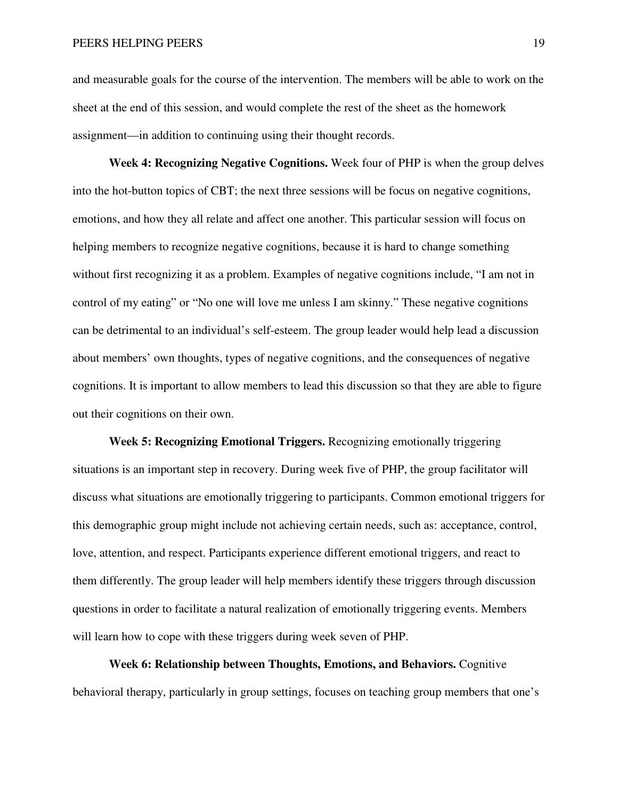and measurable goals for the course of the intervention. The members will be able to work on the sheet at the end of this session, and would complete the rest of the sheet as the homework assignment—in addition to continuing using their thought records.

**Week 4: Recognizing Negative Cognitions.** Week four of PHP is when the group delves into the hot-button topics of CBT; the next three sessions will be focus on negative cognitions, emotions, and how they all relate and affect one another. This particular session will focus on helping members to recognize negative cognitions, because it is hard to change something without first recognizing it as a problem. Examples of negative cognitions include, "I am not in control of my eating" or "No one will love me unless I am skinny." These negative cognitions can be detrimental to an individual's self-esteem. The group leader would help lead a discussion about members' own thoughts, types of negative cognitions, and the consequences of negative cognitions. It is important to allow members to lead this discussion so that they are able to figure out their cognitions on their own.

**Week 5: Recognizing Emotional Triggers.** Recognizing emotionally triggering situations is an important step in recovery. During week five of PHP, the group facilitator will discuss what situations are emotionally triggering to participants. Common emotional triggers for this demographic group might include not achieving certain needs, such as: acceptance, control, love, attention, and respect. Participants experience different emotional triggers, and react to them differently. The group leader will help members identify these triggers through discussion questions in order to facilitate a natural realization of emotionally triggering events. Members will learn how to cope with these triggers during week seven of PHP.

**Week 6: Relationship between Thoughts, Emotions, and Behaviors.** Cognitive behavioral therapy, particularly in group settings, focuses on teaching group members that one's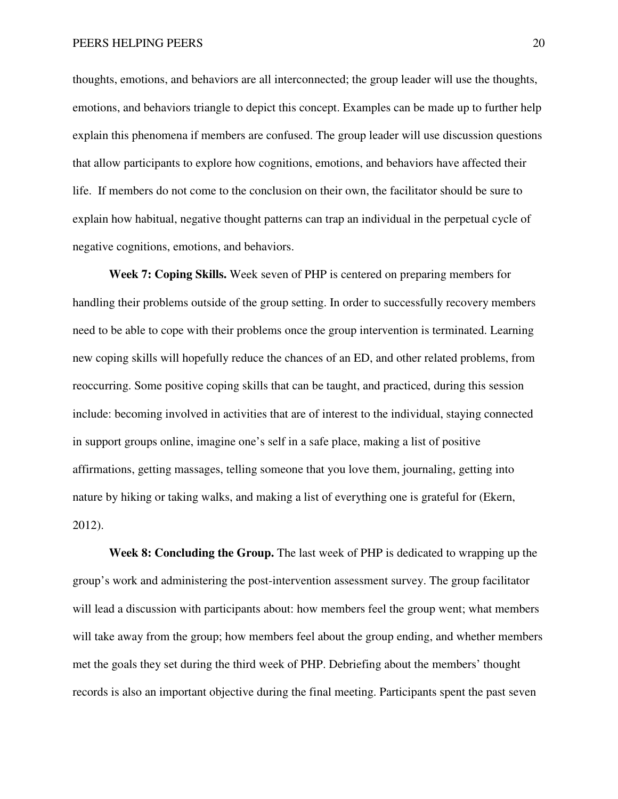thoughts, emotions, and behaviors are all interconnected; the group leader will use the thoughts, emotions, and behaviors triangle to depict this concept. Examples can be made up to further help explain this phenomena if members are confused. The group leader will use discussion questions that allow participants to explore how cognitions, emotions, and behaviors have affected their life. If members do not come to the conclusion on their own, the facilitator should be sure to explain how habitual, negative thought patterns can trap an individual in the perpetual cycle of negative cognitions, emotions, and behaviors.

**Week 7: Coping Skills.** Week seven of PHP is centered on preparing members for handling their problems outside of the group setting. In order to successfully recovery members need to be able to cope with their problems once the group intervention is terminated. Learning new coping skills will hopefully reduce the chances of an ED, and other related problems, from reoccurring. Some positive coping skills that can be taught, and practiced, during this session include: becoming involved in activities that are of interest to the individual, staying connected in support groups online, imagine one's self in a safe place, making a list of positive affirmations, getting massages, telling someone that you love them, journaling, getting into nature by hiking or taking walks, and making a list of everything one is grateful for (Ekern, 2012).

**Week 8: Concluding the Group.** The last week of PHP is dedicated to wrapping up the group's work and administering the post-intervention assessment survey. The group facilitator will lead a discussion with participants about: how members feel the group went; what members will take away from the group; how members feel about the group ending, and whether members met the goals they set during the third week of PHP. Debriefing about the members' thought records is also an important objective during the final meeting. Participants spent the past seven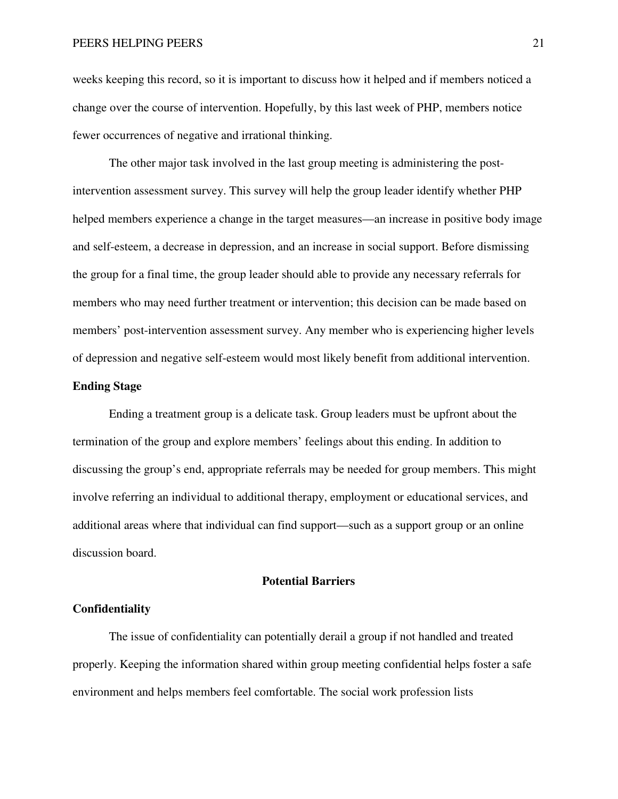weeks keeping this record, so it is important to discuss how it helped and if members noticed a change over the course of intervention. Hopefully, by this last week of PHP, members notice fewer occurrences of negative and irrational thinking.

The other major task involved in the last group meeting is administering the postintervention assessment survey. This survey will help the group leader identify whether PHP helped members experience a change in the target measures—an increase in positive body image and self-esteem, a decrease in depression, and an increase in social support. Before dismissing the group for a final time, the group leader should able to provide any necessary referrals for members who may need further treatment or intervention; this decision can be made based on members' post-intervention assessment survey. Any member who is experiencing higher levels of depression and negative self-esteem would most likely benefit from additional intervention.

#### **Ending Stage**

Ending a treatment group is a delicate task. Group leaders must be upfront about the termination of the group and explore members' feelings about this ending. In addition to discussing the group's end, appropriate referrals may be needed for group members. This might involve referring an individual to additional therapy, employment or educational services, and additional areas where that individual can find support—such as a support group or an online discussion board.

#### **Potential Barriers**

#### **Confidentiality**

The issue of confidentiality can potentially derail a group if not handled and treated properly. Keeping the information shared within group meeting confidential helps foster a safe environment and helps members feel comfortable. The social work profession lists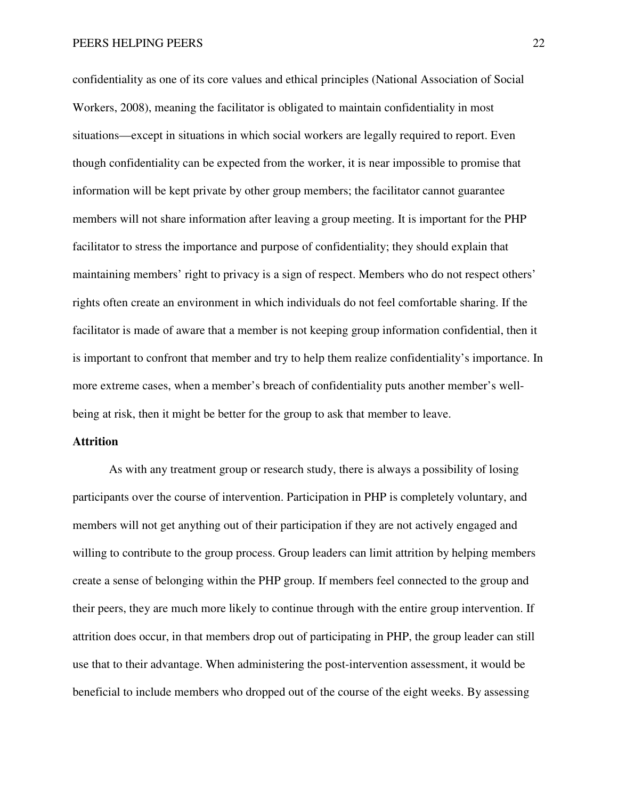confidentiality as one of its core values and ethical principles (National Association of Social Workers, 2008), meaning the facilitator is obligated to maintain confidentiality in most situations—except in situations in which social workers are legally required to report. Even though confidentiality can be expected from the worker, it is near impossible to promise that information will be kept private by other group members; the facilitator cannot guarantee members will not share information after leaving a group meeting. It is important for the PHP facilitator to stress the importance and purpose of confidentiality; they should explain that maintaining members' right to privacy is a sign of respect. Members who do not respect others' rights often create an environment in which individuals do not feel comfortable sharing. If the facilitator is made of aware that a member is not keeping group information confidential, then it is important to confront that member and try to help them realize confidentiality's importance. In more extreme cases, when a member's breach of confidentiality puts another member's wellbeing at risk, then it might be better for the group to ask that member to leave.

### **Attrition**

As with any treatment group or research study, there is always a possibility of losing participants over the course of intervention. Participation in PHP is completely voluntary, and members will not get anything out of their participation if they are not actively engaged and willing to contribute to the group process. Group leaders can limit attrition by helping members create a sense of belonging within the PHP group. If members feel connected to the group and their peers, they are much more likely to continue through with the entire group intervention. If attrition does occur, in that members drop out of participating in PHP, the group leader can still use that to their advantage. When administering the post-intervention assessment, it would be beneficial to include members who dropped out of the course of the eight weeks. By assessing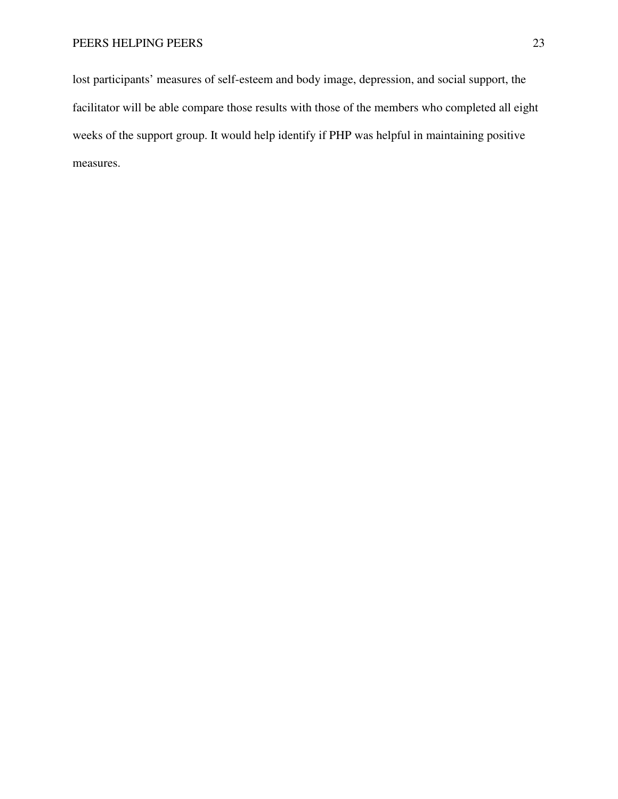lost participants' measures of self-esteem and body image, depression, and social support, the facilitator will be able compare those results with those of the members who completed all eight weeks of the support group. It would help identify if PHP was helpful in maintaining positive measures.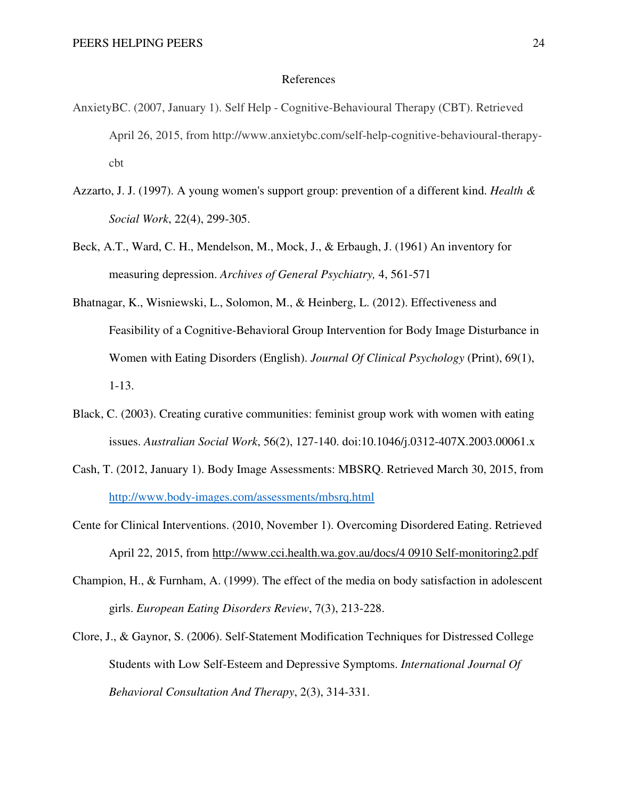#### References

- AnxietyBC. (2007, January 1). Self Help Cognitive-Behavioural Therapy (CBT). Retrieved April 26, 2015, from http://www.anxietybc.com/self-help-cognitive-behavioural-therapycbt
- Azzarto, J. J. (1997). A young women's support group: prevention of a different kind. *Health & Social Work*, 22(4), 299-305.
- Beck, A.T., Ward, C. H., Mendelson, M., Mock, J., & Erbaugh, J. (1961) An inventory for measuring depression. *Archives of General Psychiatry,* 4, 561-571
- Bhatnagar, K., Wisniewski, L., Solomon, M., & Heinberg, L. (2012). Effectiveness and Feasibility of a Cognitive-Behavioral Group Intervention for Body Image Disturbance in Women with Eating Disorders (English). *Journal Of Clinical Psychology* (Print), 69(1), 1-13.
- Black, C. (2003). Creating curative communities: feminist group work with women with eating issues. *Australian Social Work*, 56(2), 127-140. doi:10.1046/j.0312-407X.2003.00061.x
- Cash, T. (2012, January 1). Body Image Assessments: MBSRQ. Retrieved March 30, 2015, from http://www.body-images.com/assessments/mbsrq.html
- Cente for Clinical Interventions. (2010, November 1). Overcoming Disordered Eating. Retrieved April 22, 2015, from http://www.cci.health.wa.gov.au/docs/4 0910 Self-monitoring2.pdf
- Champion, H., & Furnham, A. (1999). The effect of the media on body satisfaction in adolescent girls. *European Eating Disorders Review*, 7(3), 213-228.
- Clore, J., & Gaynor, S. (2006). Self-Statement Modification Techniques for Distressed College Students with Low Self-Esteem and Depressive Symptoms. *International Journal Of Behavioral Consultation And Therapy*, 2(3), 314-331.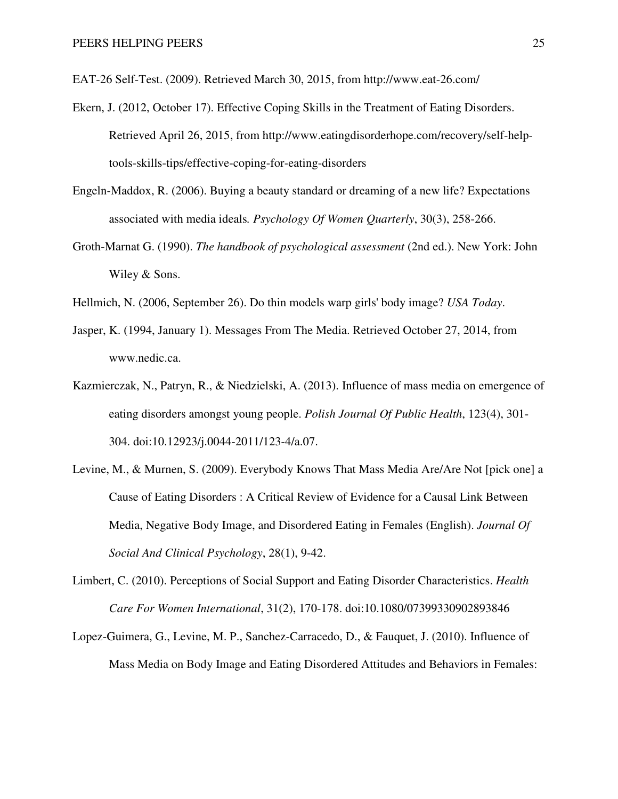EAT-26 Self-Test. (2009). Retrieved March 30, 2015, from http://www.eat-26.com/

- Ekern, J. (2012, October 17). Effective Coping Skills in the Treatment of Eating Disorders. Retrieved April 26, 2015, from http://www.eatingdisorderhope.com/recovery/self-helptools-skills-tips/effective-coping-for-eating-disorders
- Engeln-Maddox, R. (2006). Buying a beauty standard or dreaming of a new life? Expectations associated with media ideals*. Psychology Of Women Quarterly*, 30(3), 258-266.
- Groth-Marnat G. (1990). *The handbook of psychological assessment* (2nd ed.). New York: John Wiley & Sons.
- Hellmich, N. (2006, September 26). Do thin models warp girls' body image? *USA Today*.
- Jasper, K. (1994, January 1). Messages From The Media. Retrieved October 27, 2014, from www.nedic.ca.
- Kazmierczak, N., Patryn, R., & Niedzielski, A. (2013). Influence of mass media on emergence of eating disorders amongst young people. *Polish Journal Of Public Health*, 123(4), 301- 304. doi:10.12923/j.0044-2011/123-4/a.07.
- Levine, M., & Murnen, S. (2009). Everybody Knows That Mass Media Are/Are Not [pick one] a Cause of Eating Disorders : A Critical Review of Evidence for a Causal Link Between Media, Negative Body Image, and Disordered Eating in Females (English). *Journal Of Social And Clinical Psychology*, 28(1), 9-42.
- Limbert, C. (2010). Perceptions of Social Support and Eating Disorder Characteristics. *Health Care For Women International*, 31(2), 170-178. doi:10.1080/07399330902893846
- Lopez-Guimera, G., Levine, M. P., Sanchez-Carracedo, D., & Fauquet, J. (2010). Influence of Mass Media on Body Image and Eating Disordered Attitudes and Behaviors in Females: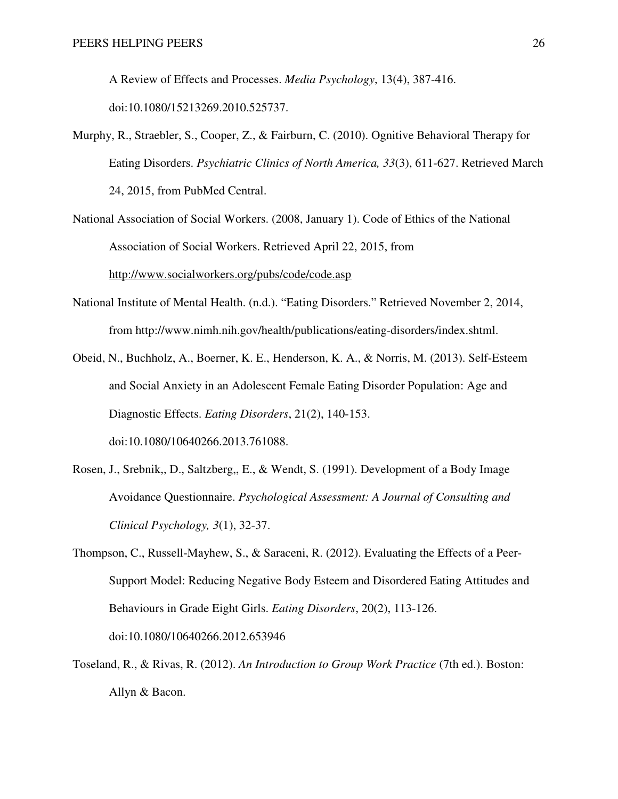A Review of Effects and Processes. *Media Psychology*, 13(4), 387-416. doi:10.1080/15213269.2010.525737.

- Murphy, R., Straebler, S., Cooper, Z., & Fairburn, C. (2010). Ognitive Behavioral Therapy for Eating Disorders. *Psychiatric Clinics of North America, 33*(3), 611-627. Retrieved March 24, 2015, from PubMed Central.
- National Association of Social Workers. (2008, January 1). Code of Ethics of the National Association of Social Workers. Retrieved April 22, 2015, from http://www.socialworkers.org/pubs/code/code.asp
- National Institute of Mental Health. (n.d.). "Eating Disorders." Retrieved November 2, 2014, from http://www.nimh.nih.gov/health/publications/eating-disorders/index.shtml.
- Obeid, N., Buchholz, A., Boerner, K. E., Henderson, K. A., & Norris, M. (2013). Self-Esteem and Social Anxiety in an Adolescent Female Eating Disorder Population: Age and Diagnostic Effects. *Eating Disorders*, 21(2), 140-153. doi:10.1080/10640266.2013.761088.
- Rosen, J., Srebnik,, D., Saltzberg,, E., & Wendt, S. (1991). Development of a Body Image Avoidance Questionnaire. *Psychological Assessment: A Journal of Consulting and Clinical Psychology, 3*(1), 32-37.
- Thompson, C., Russell-Mayhew, S., & Saraceni, R. (2012). Evaluating the Effects of a Peer-Support Model: Reducing Negative Body Esteem and Disordered Eating Attitudes and Behaviours in Grade Eight Girls. *Eating Disorders*, 20(2), 113-126. doi:10.1080/10640266.2012.653946
- Toseland, R., & Rivas, R. (2012). *An Introduction to Group Work Practice* (7th ed.). Boston: Allyn & Bacon.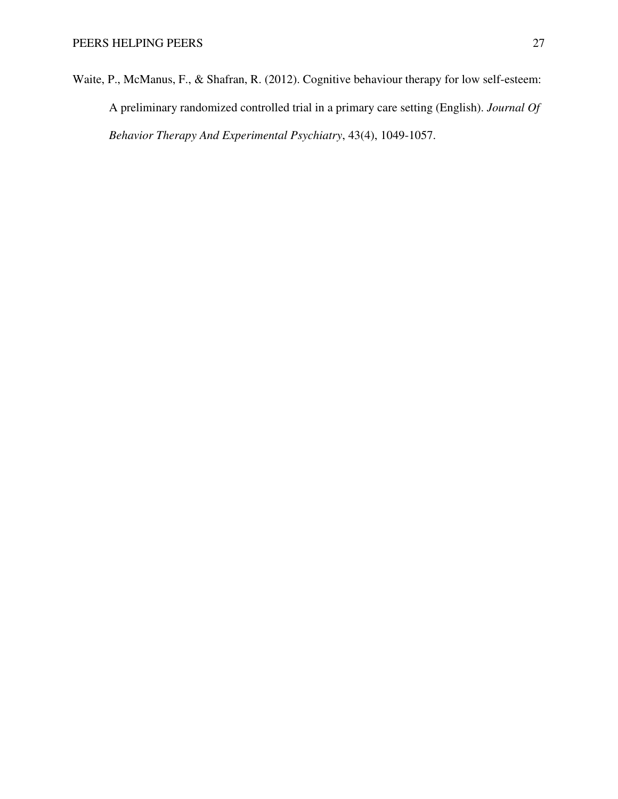Waite, P., McManus, F., & Shafran, R. (2012). Cognitive behaviour therapy for low self-esteem: A preliminary randomized controlled trial in a primary care setting (English). *Journal Of Behavior Therapy And Experimental Psychiatry*, 43(4), 1049-1057.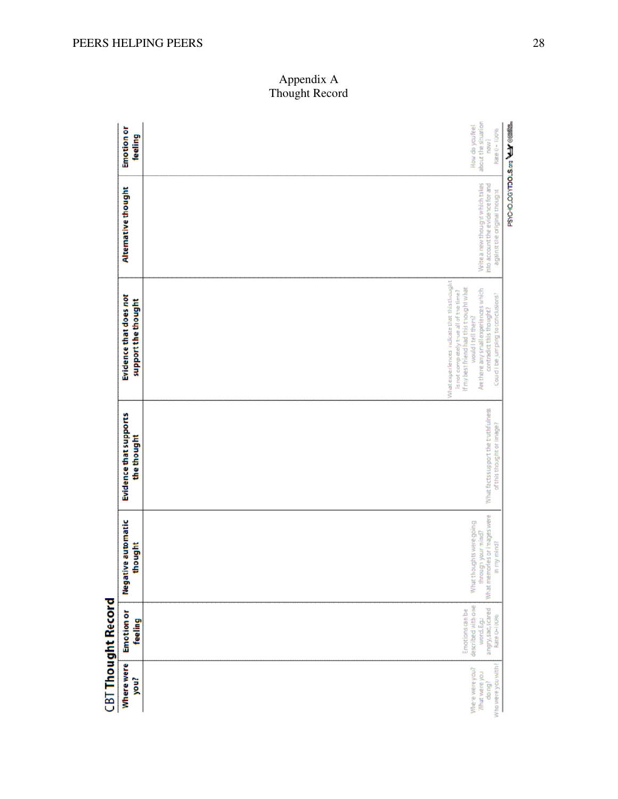|                           | <b>Emotion or</b><br>feeling                  | PSYC-IO_OGYTOOLS.org<br>about the situation<br>How do you're!<br>Rate 0 - 100%<br><b>TROW</b> ?                                                                                                                                                                    |
|---------------------------|-----------------------------------------------|--------------------------------------------------------------------------------------------------------------------------------------------------------------------------------------------------------------------------------------------------------------------|
| <b>CBT Thought Record</b> | Alternative thought                           | Write a new thought which takes<br>into account the evidence for and<br>against the original thought                                                                                                                                                               |
|                           | Evidence that does not<br>support the thought | Winatexperiences indicate that this thought<br>If my best friend had this thought what<br>Are there any small experiences which<br>is not completely true all of the time?<br>Courd I be jumping to conclusions?<br>contradict this thought?<br>would I tell them? |
|                           | Evidence that supports<br>the thought         | What facts support the truthfulness<br>of this thought or image?                                                                                                                                                                                                   |
|                           | Negative automatic<br>thought                 | What memories or images were<br>What though is were going<br>through your mind?<br>in my mind?                                                                                                                                                                     |
|                           | <b>Emotion or</b><br>feeling                  | described with one<br>angry, sad, scared<br>Enotions can be<br>Rate 0-100%<br>word.E.g.:                                                                                                                                                                           |
|                           | Where were<br>you?                            | Who were you with?<br>Where were you?<br>What were you<br>dairal                                                                                                                                                                                                   |

# Appendix A Thought Record